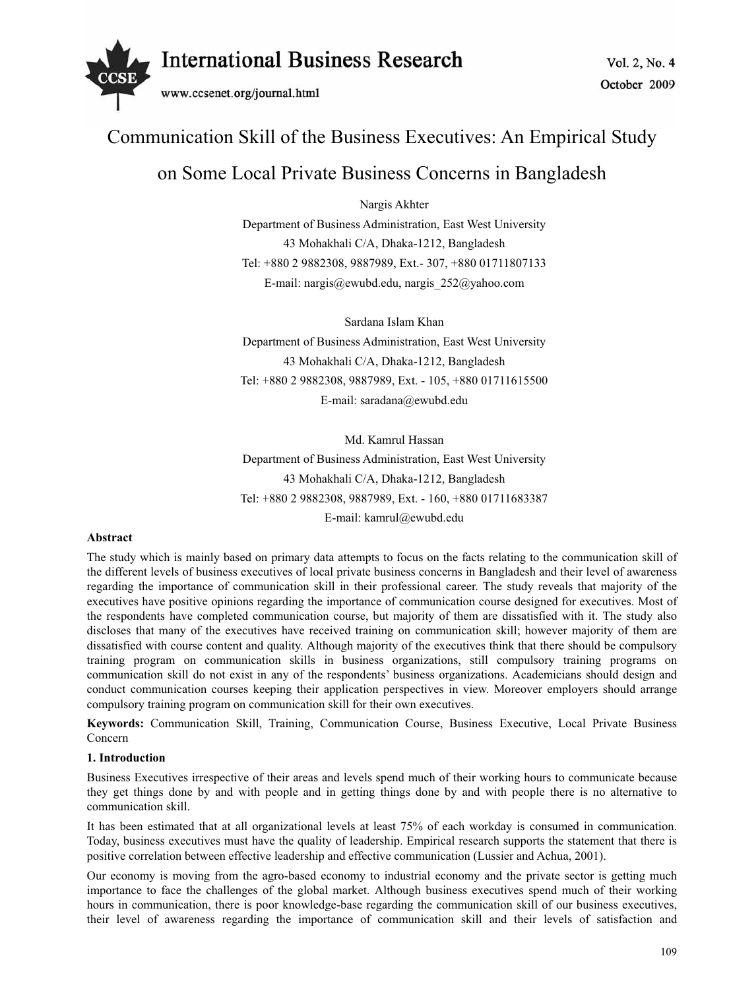# **International Business Research**  $\text{Vol. 2, No. 4}$



# Communication Skill of the Business Executives: An Empirical Study on Some Local Private Business Concerns in Bangladesh

Nargis Akhter

Department of Business Administration, East West University 43 Mohakhali C/A, Dhaka-1212, Bangladesh Tel: +880 2 9882308, 9887989, Ext.- 307, +880 01711807133 E-mail: nargis@ewubd.edu, nargis\_252@yahoo.com

Sardana Islam Khan

Department of Business Administration, East West University 43 Mohakhali C/A, Dhaka-1212, Bangladesh Tel: +880 2 9882308, 9887989, Ext. - 105, +880 01711615500 E-mail: saradana@ewubd.edu

Md. Kamrul Hassan Department of Business Administration, East West University 43 Mohakhali C/A, Dhaka-1212, Bangladesh Tel: +880 2 9882308, 9887989, Ext. - 160, +880 01711683387 E-mail: kamrul@ewubd.edu

# **Abstract**

The study which is mainly based on primary data attempts to focus on the facts relating to the communication skill of the different levels of business executives of local private business concerns in Bangladesh and their level of awareness regarding the importance of communication skill in their professional career. The study reveals that majority of the executives have positive opinions regarding the importance of communication course designed for executives. Most of the respondents have completed communication course, but majority of them are dissatisfied with it. The study also discloses that many of the executives have received training on communication skill; however majority of them are dissatisfied with course content and quality. Although majority of the executives think that there should be compulsory training program on communication skills in business organizations, still compulsory training programs on communication skill do not exist in any of the respondents' business organizations. Academicians should design and conduct communication courses keeping their application perspectives in view. Moreover employers should arrange compulsory training program on communication skill for their own executives.

**Keywords:** Communication Skill, Training, Communication Course, Business Executive, Local Private Business Concern

# **1. Introduction**

Business Executives irrespective of their areas and levels spend much of their working hours to communicate because they get things done by and with people and in getting things done by and with people there is no alternative to communication skill.

It has been estimated that at all organizational levels at least 75% of each workday is consumed in communication. Today, business executives must have the quality of leadership. Empirical research supports the statement that there is positive correlation between effective leadership and effective communication (Lussier and Achua, 2001).

Our economy is moving from the agro-based economy to industrial economy and the private sector is getting much importance to face the challenges of the global market. Although business executives spend much of their working hours in communication, there is poor knowledge-base regarding the communication skill of our business executives, their level of awareness regarding the importance of communication skill and their levels of satisfaction and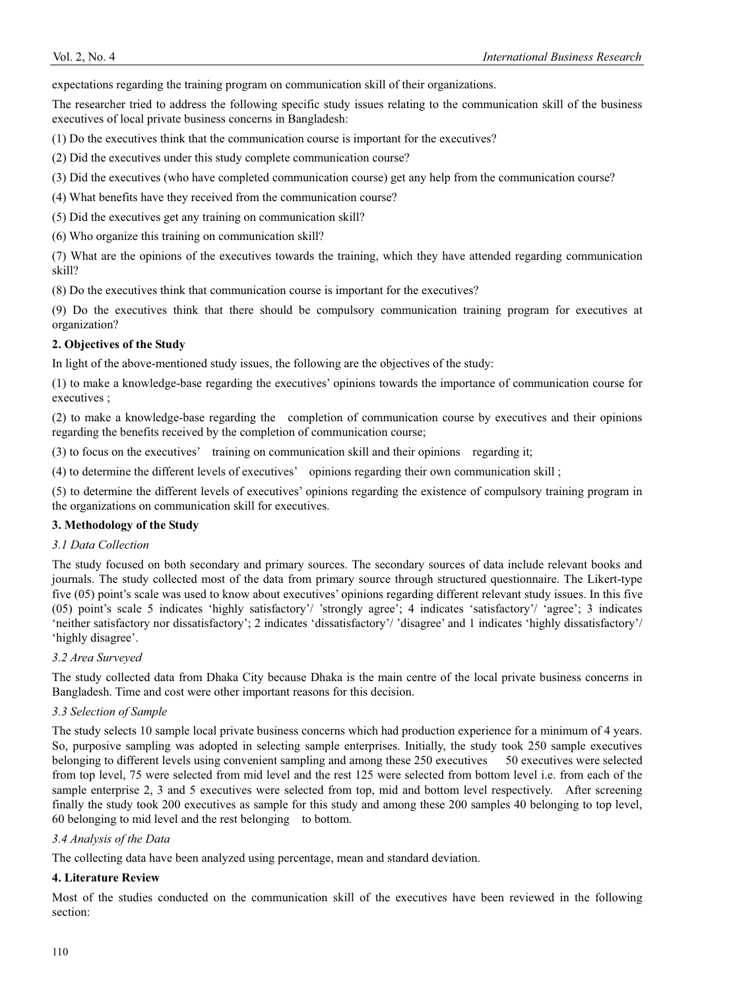expectations regarding the training program on communication skill of their organizations.

The researcher tried to address the following specific study issues relating to the communication skill of the business executives of local private business concerns in Bangladesh:

(1) Do the executives think that the communication course is important for the executives?

- (2) Did the executives under this study complete communication course?
- (3) Did the executives (who have completed communication course) get any help from the communication course?
- (4) What benefits have they received from the communication course?
- (5) Did the executives get any training on communication skill?
- (6) Who organize this training on communication skill?

(7) What are the opinions of the executives towards the training, which they have attended regarding communication skill?

(8) Do the executives think that communication course is important for the executives?

(9) Do the executives think that there should be compulsory communication training program for executives at organization?

## **2. Objectives of the Study**

In light of the above-mentioned study issues, the following are the objectives of the study:

(1) to make a knowledge-base regarding the executives' opinions towards the importance of communication course for executives ;

(2) to make a knowledge-base regarding the completion of communication course by executives and their opinions regarding the benefits received by the completion of communication course;

(3) to focus on the executives' training on communication skill and their opinions regarding it;

(4) to determine the different levels of executives' opinions regarding their own communication skill ;

(5) to determine the different levels of executives' opinions regarding the existence of compulsory training program in the organizations on communication skill for executives.

#### **3. Methodology of the Study**

#### *3.1 Data Collection*

The study focused on both secondary and primary sources. The secondary sources of data include relevant books and journals. The study collected most of the data from primary source through structured questionnaire. The Likert-type five (05) point's scale was used to know about executives' opinions regarding different relevant study issues. In this five (05) point's scale 5 indicates 'highly satisfactory'/ 'strongly agree'; 4 indicates 'satisfactory'/ 'agree'; 3 indicates 'neither satisfactory nor dissatisfactory'; 2 indicates 'dissatisfactory'/ 'disagree' and 1 indicates 'highly dissatisfactory'/ 'highly disagree'.

#### *3.2 Area Surveyed*

The study collected data from Dhaka City because Dhaka is the main centre of the local private business concerns in Bangladesh. Time and cost were other important reasons for this decision.

# *3.3 Selection of Sample*

The study selects 10 sample local private business concerns which had production experience for a minimum of 4 years. So, purposive sampling was adopted in selecting sample enterprises. Initially, the study took 250 sample executives belonging to different levels using convenient sampling and among these 250 executives 50 executives were selected from top level, 75 were selected from mid level and the rest 125 were selected from bottom level i.e. from each of the sample enterprise 2, 3 and 5 executives were selected from top, mid and bottom level respectively. After screening finally the study took 200 executives as sample for this study and among these 200 samples 40 belonging to top level, 60 belonging to mid level and the rest belonging to bottom.

# *3.4 Analysis of the Data*

The collecting data have been analyzed using percentage, mean and standard deviation.

#### **4. Literature Review**

Most of the studies conducted on the communication skill of the executives have been reviewed in the following section: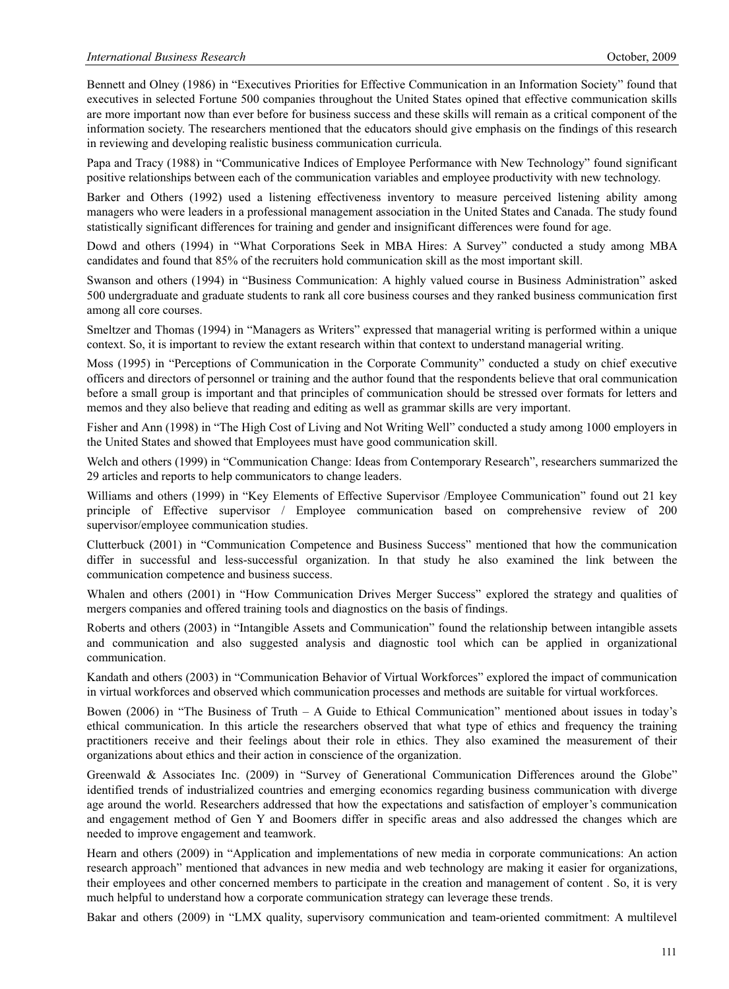Bennett and Olney (1986) in "Executives Priorities for Effective Communication in an Information Society" found that executives in selected Fortune 500 companies throughout the United States opined that effective communication skills are more important now than ever before for business success and these skills will remain as a critical component of the information society. The researchers mentioned that the educators should give emphasis on the findings of this research in reviewing and developing realistic business communication curricula.

Papa and Tracy (1988) in "Communicative Indices of Employee Performance with New Technology" found significant positive relationships between each of the communication variables and employee productivity with new technology.

Barker and Others (1992) used a listening effectiveness inventory to measure perceived listening ability among managers who were leaders in a professional management association in the United States and Canada. The study found statistically significant differences for training and gender and insignificant differences were found for age.

Dowd and others (1994) in "What Corporations Seek in MBA Hires: A Survey" conducted a study among MBA candidates and found that 85% of the recruiters hold communication skill as the most important skill.

Swanson and others (1994) in "Business Communication: A highly valued course in Business Administration" asked 500 undergraduate and graduate students to rank all core business courses and they ranked business communication first among all core courses.

Smeltzer and Thomas (1994) in "Managers as Writers" expressed that managerial writing is performed within a unique context. So, it is important to review the extant research within that context to understand managerial writing.

Moss (1995) in "Perceptions of Communication in the Corporate Community" conducted a study on chief executive officers and directors of personnel or training and the author found that the respondents believe that oral communication before a small group is important and that principles of communication should be stressed over formats for letters and memos and they also believe that reading and editing as well as grammar skills are very important.

Fisher and Ann (1998) in "The High Cost of Living and Not Writing Well" conducted a study among 1000 employers in the United States and showed that Employees must have good communication skill.

Welch and others (1999) in "Communication Change: Ideas from Contemporary Research", researchers summarized the 29 articles and reports to help communicators to change leaders.

Williams and others (1999) in "Key Elements of Effective Supervisor /Employee Communication" found out 21 key principle of Effective supervisor / Employee communication based on comprehensive review of 200 supervisor/employee communication studies.

Clutterbuck (2001) in "Communication Competence and Business Success" mentioned that how the communication differ in successful and less-successful organization. In that study he also examined the link between the communication competence and business success.

Whalen and others (2001) in "How Communication Drives Merger Success" explored the strategy and qualities of mergers companies and offered training tools and diagnostics on the basis of findings.

Roberts and others (2003) in "Intangible Assets and Communication" found the relationship between intangible assets and communication and also suggested analysis and diagnostic tool which can be applied in organizational communication.

Kandath and others (2003) in "Communication Behavior of Virtual Workforces" explored the impact of communication in virtual workforces and observed which communication processes and methods are suitable for virtual workforces.

Bowen (2006) in "The Business of Truth – A Guide to Ethical Communication" mentioned about issues in today's ethical communication. In this article the researchers observed that what type of ethics and frequency the training practitioners receive and their feelings about their role in ethics. They also examined the measurement of their organizations about ethics and their action in conscience of the organization.

Greenwald & Associates Inc. (2009) in "Survey of Generational Communication Differences around the Globe" identified trends of industrialized countries and emerging economics regarding business communication with diverge age around the world. Researchers addressed that how the expectations and satisfaction of employer's communication and engagement method of Gen Y and Boomers differ in specific areas and also addressed the changes which are needed to improve engagement and teamwork.

Hearn and others (2009) in "Application and implementations of new media in corporate communications: An action research approach" mentioned that advances in new media and web technology are making it easier for organizations, their employees and other concerned members to participate in the creation and management of content . So, it is very much helpful to understand how a corporate communication strategy can leverage these trends.

Bakar and others (2009) in "LMX quality, supervisory communication and team-oriented commitment: A multilevel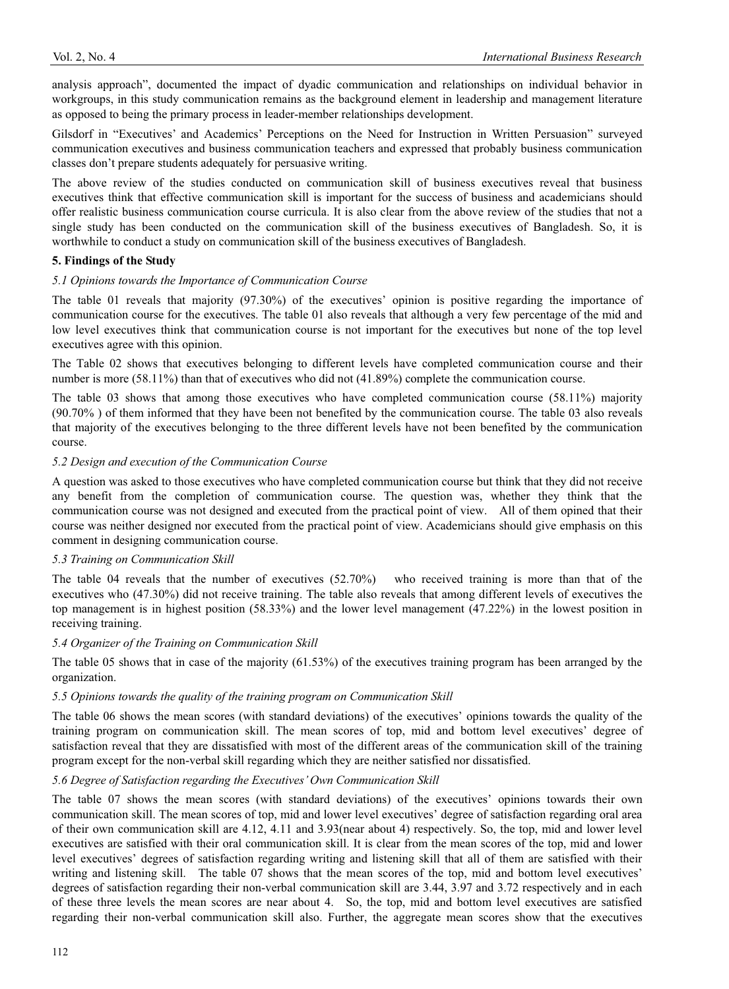analysis approach", documented the impact of dyadic communication and relationships on individual behavior in workgroups, in this study communication remains as the background element in leadership and management literature as opposed to being the primary process in leader-member relationships development.

Gilsdorf in "Executives' and Academics' Perceptions on the Need for Instruction in Written Persuasion" surveyed communication executives and business communication teachers and expressed that probably business communication classes don't prepare students adequately for persuasive writing.

The above review of the studies conducted on communication skill of business executives reveal that business executives think that effective communication skill is important for the success of business and academicians should offer realistic business communication course curricula. It is also clear from the above review of the studies that not a single study has been conducted on the communication skill of the business executives of Bangladesh. So, it is worthwhile to conduct a study on communication skill of the business executives of Bangladesh.

## **5. Findings of the Study**

## *5.1 Opinions towards the Importance of Communication Course*

The table 01 reveals that majority (97.30%) of the executives' opinion is positive regarding the importance of communication course for the executives. The table 01 also reveals that although a very few percentage of the mid and low level executives think that communication course is not important for the executives but none of the top level executives agree with this opinion.

The Table 02 shows that executives belonging to different levels have completed communication course and their number is more (58.11%) than that of executives who did not (41.89%) complete the communication course.

The table 03 shows that among those executives who have completed communication course (58.11%) majority (90.70% ) of them informed that they have been not benefited by the communication course. The table 03 also reveals that majority of the executives belonging to the three different levels have not been benefited by the communication course.

#### *5.2 Design and execution of the Communication Course*

A question was asked to those executives who have completed communication course but think that they did not receive any benefit from the completion of communication course. The question was, whether they think that the communication course was not designed and executed from the practical point of view. All of them opined that their course was neither designed nor executed from the practical point of view. Academicians should give emphasis on this comment in designing communication course.

#### *5.3 Training on Communication Skill*

The table 04 reveals that the number of executives (52.70%) who received training is more than that of the executives who (47.30%) did not receive training. The table also reveals that among different levels of executives the top management is in highest position (58.33%) and the lower level management (47.22%) in the lowest position in receiving training.

#### *5.4 Organizer of the Training on Communication Skill*

The table 05 shows that in case of the majority (61.53%) of the executives training program has been arranged by the organization.

#### *5.5 Opinions towards the quality of the training program on Communication Skill*

The table 06 shows the mean scores (with standard deviations) of the executives' opinions towards the quality of the training program on communication skill. The mean scores of top, mid and bottom level executives' degree of satisfaction reveal that they are dissatisfied with most of the different areas of the communication skill of the training program except for the non-verbal skill regarding which they are neither satisfied nor dissatisfied.

#### *5.6 Degree of Satisfaction regarding the Executives' Own Communication Skill*

The table 07 shows the mean scores (with standard deviations) of the executives' opinions towards their own communication skill. The mean scores of top, mid and lower level executives' degree of satisfaction regarding oral area of their own communication skill are 4.12, 4.11 and 3.93(near about 4) respectively. So, the top, mid and lower level executives are satisfied with their oral communication skill. It is clear from the mean scores of the top, mid and lower level executives' degrees of satisfaction regarding writing and listening skill that all of them are satisfied with their writing and listening skill. The table 07 shows that the mean scores of the top, mid and bottom level executives' degrees of satisfaction regarding their non-verbal communication skill are 3.44, 3.97 and 3.72 respectively and in each of these three levels the mean scores are near about 4. So, the top, mid and bottom level executives are satisfied regarding their non-verbal communication skill also. Further, the aggregate mean scores show that the executives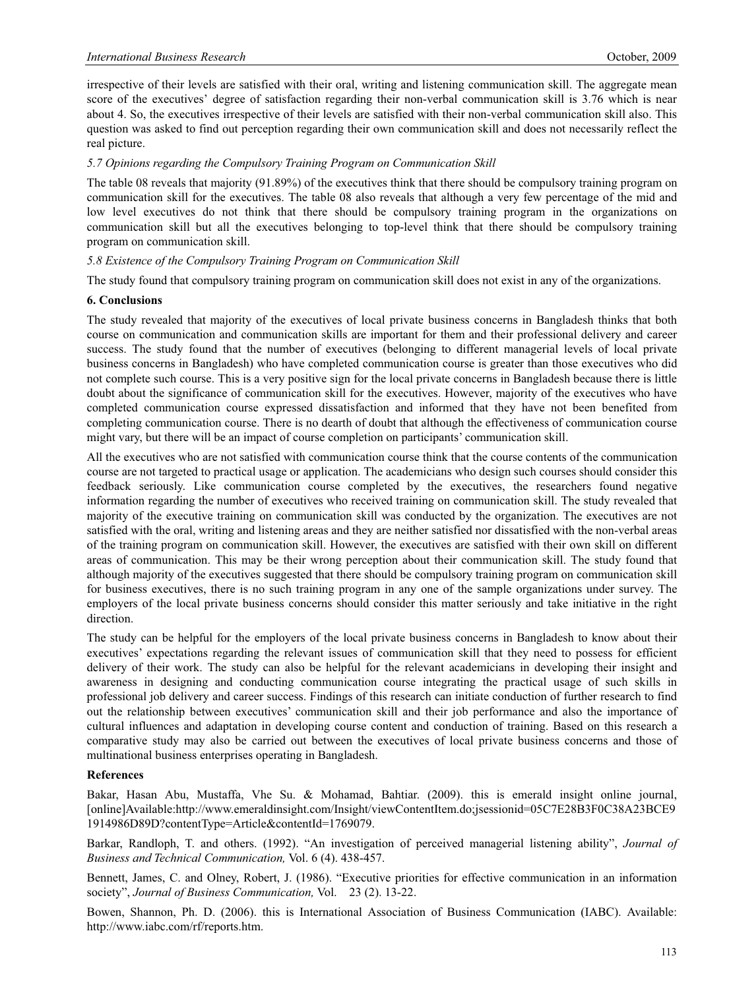irrespective of their levels are satisfied with their oral, writing and listening communication skill. The aggregate mean score of the executives' degree of satisfaction regarding their non-verbal communication skill is 3.76 which is near about 4. So, the executives irrespective of their levels are satisfied with their non-verbal communication skill also. This question was asked to find out perception regarding their own communication skill and does not necessarily reflect the real picture.

## *5.7 Opinions regarding the Compulsory Training Program on Communication Skill*

The table 08 reveals that majority (91.89%) of the executives think that there should be compulsory training program on communication skill for the executives. The table 08 also reveals that although a very few percentage of the mid and low level executives do not think that there should be compulsory training program in the organizations on communication skill but all the executives belonging to top-level think that there should be compulsory training program on communication skill.

#### *5.8 Existence of the Compulsory Training Program on Communication Skill*

The study found that compulsory training program on communication skill does not exist in any of the organizations.

## **6. Conclusions**

The study revealed that majority of the executives of local private business concerns in Bangladesh thinks that both course on communication and communication skills are important for them and their professional delivery and career success. The study found that the number of executives (belonging to different managerial levels of local private business concerns in Bangladesh) who have completed communication course is greater than those executives who did not complete such course. This is a very positive sign for the local private concerns in Bangladesh because there is little doubt about the significance of communication skill for the executives. However, majority of the executives who have completed communication course expressed dissatisfaction and informed that they have not been benefited from completing communication course. There is no dearth of doubt that although the effectiveness of communication course might vary, but there will be an impact of course completion on participants' communication skill.

All the executives who are not satisfied with communication course think that the course contents of the communication course are not targeted to practical usage or application. The academicians who design such courses should consider this feedback seriously. Like communication course completed by the executives, the researchers found negative information regarding the number of executives who received training on communication skill. The study revealed that majority of the executive training on communication skill was conducted by the organization. The executives are not satisfied with the oral, writing and listening areas and they are neither satisfied nor dissatisfied with the non-verbal areas of the training program on communication skill. However, the executives are satisfied with their own skill on different areas of communication. This may be their wrong perception about their communication skill. The study found that although majority of the executives suggested that there should be compulsory training program on communication skill for business executives, there is no such training program in any one of the sample organizations under survey. The employers of the local private business concerns should consider this matter seriously and take initiative in the right direction.

The study can be helpful for the employers of the local private business concerns in Bangladesh to know about their executives' expectations regarding the relevant issues of communication skill that they need to possess for efficient delivery of their work. The study can also be helpful for the relevant academicians in developing their insight and awareness in designing and conducting communication course integrating the practical usage of such skills in professional job delivery and career success. Findings of this research can initiate conduction of further research to find out the relationship between executives' communication skill and their job performance and also the importance of cultural influences and adaptation in developing course content and conduction of training. Based on this research a comparative study may also be carried out between the executives of local private business concerns and those of multinational business enterprises operating in Bangladesh.

# **References**

Bakar, Hasan Abu, Mustaffa, Vhe Su. & Mohamad, Bahtiar. (2009). this is emerald insight online journal, [online]Available:http://www.emeraldinsight.com/Insight/viewContentItem.do;jsessionid=05C7E28B3F0C38A23BCE9 1914986D89D?contentType=Article&contentId=1769079.

Barkar, Randloph, T. and others. (1992). "An investigation of perceived managerial listening ability", *Journal of Business and Technical Communication,* Vol. 6 (4). 438-457.

Bennett, James, C. and Olney, Robert, J. (1986). "Executive priorities for effective communication in an information society", *Journal of Business Communication,* Vol. 23 (2). 13-22.

Bowen, Shannon, Ph. D. (2006). this is International Association of Business Communication (IABC). Available: http://www.iabc.com/rf/reports.htm.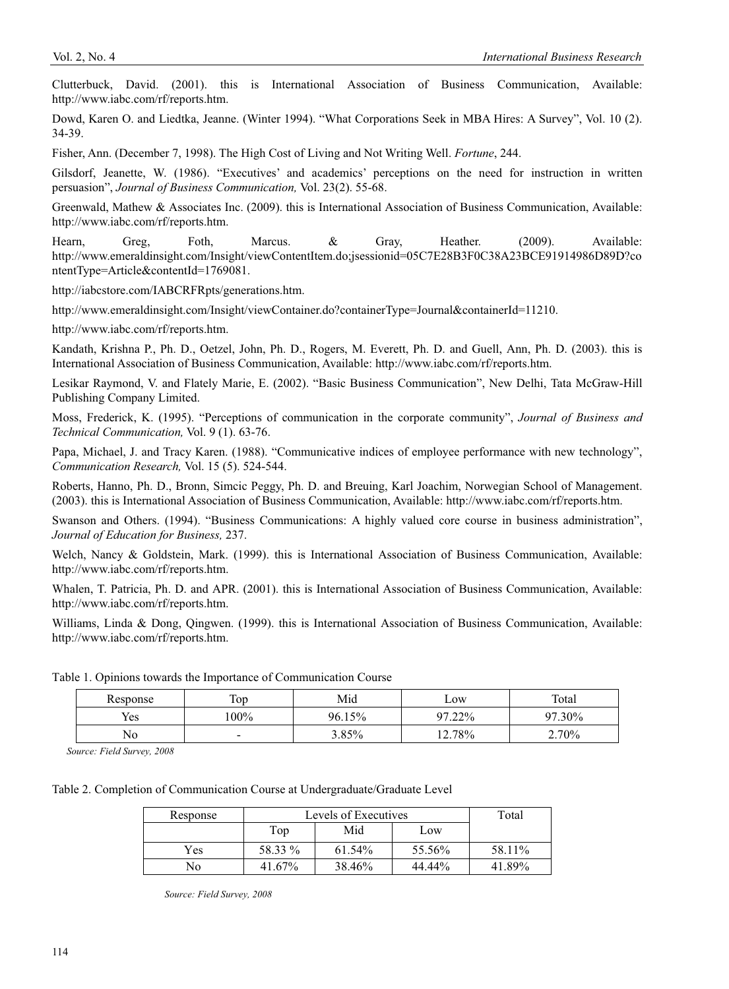Clutterbuck, David. (2001). this is International Association of Business Communication, Available: http://www.iabc.com/rf/reports.htm.

Dowd, Karen O. and Liedtka, Jeanne. (Winter 1994). "What Corporations Seek in MBA Hires: A Survey", Vol. 10 (2). 34-39.

Fisher, Ann. (December 7, 1998). The High Cost of Living and Not Writing Well. *Fortune*, 244.

Gilsdorf, Jeanette, W. (1986). "Executives' and academics' perceptions on the need for instruction in written persuasion", *Journal of Business Communication,* Vol. 23(2). 55-68.

Greenwald, Mathew & Associates Inc. (2009). this is International Association of Business Communication, Available: http://www.iabc.com/rf/reports.htm.

Hearn, Greg, Foth, Marcus. & Gray, Heather. (2009). Available: http://www.emeraldinsight.com/Insight/viewContentItem.do;jsessionid=05C7E28B3F0C38A23BCE91914986D89D?co ntentType=Article&contentId=1769081.

http://iabcstore.com/IABCRFRpts/generations.htm.

http://www.emeraldinsight.com/Insight/viewContainer.do?containerType=Journal&containerId=11210.

http://www.iabc.com/rf/reports.htm.

Kandath, Krishna P., Ph. D., Oetzel, John, Ph. D., Rogers, M. Everett, Ph. D. and Guell, Ann, Ph. D. (2003). this is International Association of Business Communication, Available: http://www.iabc.com/rf/reports.htm.

Lesikar Raymond, V. and Flately Marie, E. (2002). "Basic Business Communication", New Delhi, Tata McGraw-Hill Publishing Company Limited.

Moss, Frederick, K. (1995). "Perceptions of communication in the corporate community", *Journal of Business and Technical Communication,* Vol. 9 (1). 63-76.

Papa, Michael, J. and Tracy Karen. (1988). "Communicative indices of employee performance with new technology", *Communication Research,* Vol. 15 (5). 524-544.

Roberts, Hanno, Ph. D., Bronn, Simcic Peggy, Ph. D. and Breuing, Karl Joachim, Norwegian School of Management. (2003). this is International Association of Business Communication, Available: http://www.iabc.com/rf/reports.htm.

Swanson and Others. (1994). "Business Communications: A highly valued core course in business administration", *Journal of Education for Business,* 237.

Welch, Nancy & Goldstein, Mark. (1999). this is International Association of Business Communication, Available: http://www.iabc.com/rf/reports.htm.

Whalen, T. Patricia, Ph. D. and APR. (2001). this is International Association of Business Communication, Available: http://www.iabc.com/rf/reports.htm.

Williams, Linda & Dong, Qingwen. (1999). this is International Association of Business Communication, Available: http://www.iabc.com/rf/reports.htm.

Table 1. Opinions towards the Importance of Communication Course

| Response   | Top                      | Mid           | LOW           | Total         |
|------------|--------------------------|---------------|---------------|---------------|
| <b>Yes</b> | 100%                     | 15%<br>- 96 . | $.22\%$<br>07 | <b>27.30%</b> |
| No         | $\overline{\phantom{a}}$ | $.85\%$       | $12.78\%$     | 2.70%         |

 *Source: Field Survey, 2008* 

Table 2. Completion of Communication Course at Undergraduate/Graduate Level

| Response | Levels of Executives | Total  |        |        |
|----------|----------------------|--------|--------|--------|
|          | Top                  | Mid    | Low    |        |
| Yes      | 58.33 %              | 61.54% | 55.56% | 58.11% |
| No       | 41.67%               | 38.46% | 44.44% | 41.89% |

 *Source: Field Survey, 2008*